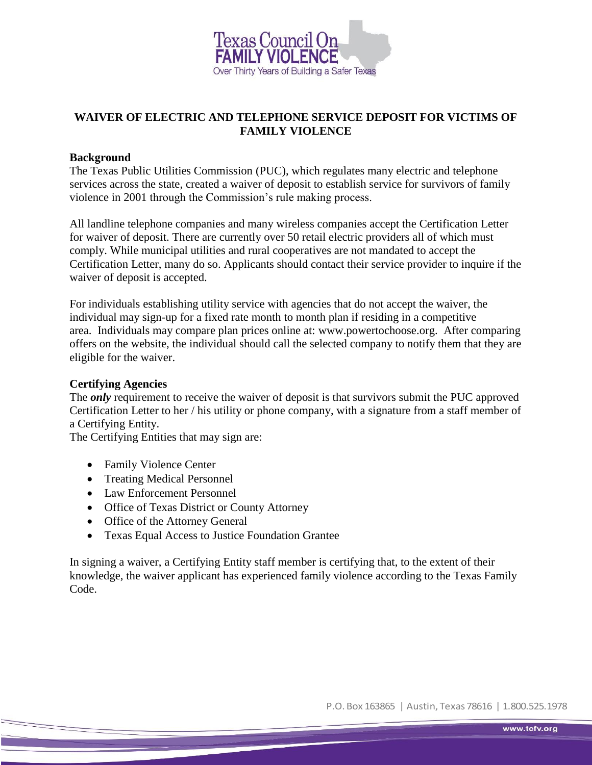

# **WAIVER OF ELECTRIC AND TELEPHONE SERVICE DEPOSIT FOR VICTIMS OF FAMILY VIOLENCE**

## **Background**

The Texas Public Utilities Commission (PUC), which regulates many electric and telephone services across the state, created a waiver of deposit to establish service for survivors of family violence in 2001 through the Commission's rule making process.

All landline telephone companies and many wireless companies accept the Certification Letter for waiver of deposit. There are currently over 50 retail electric providers all of which must comply. While municipal utilities and rural cooperatives are not mandated to accept the Certification Letter, many do so. Applicants should contact their service provider to inquire if the waiver of deposit is accepted.

For individuals establishing utility service with agencies that do not accept the waiver, the individual may sign-up for a fixed rate month to month plan if residing in a competitive area. Individuals may compare plan prices online at: [www.powertochoose.org.](http://www.powertochoose.org/) After comparing offers on the website, the individual should call the selected company to notify them that they are eligible for the waiver.

#### **Certifying Agencies**

The *only* requirement to receive the waiver of deposit is that survivors submit the PUC approved Certification Letter to her / his utility or phone company, with a signature from a staff member of a Certifying Entity.

The Certifying Entities that may sign are:

- Family Violence Center
- Treating Medical Personnel
- Law Enforcement Personnel
- Office of Texas District or County Attorney
- Office of the Attorney General
- Texas Equal Access to Justice Foundation Grantee

In signing a waiver, a Certifying Entity staff member is certifying that, to the extent of their knowledge, the waiver applicant has experienced family violence according to the Texas Family Code.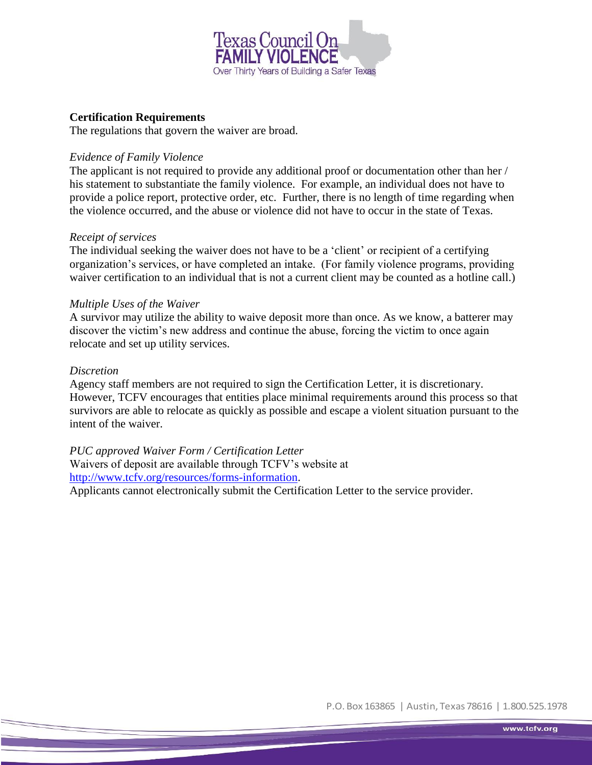

## **Certification Requirements**

The regulations that govern the waiver are broad.

## *Evidence of Family Violence*

The applicant is not required to provide any additional proof or documentation other than her / his statement to substantiate the family violence. For example, an individual does not have to provide a police report, protective order, etc. Further, there is no length of time regarding when the violence occurred, and the abuse or violence did not have to occur in the state of Texas.

#### *Receipt of services*

The individual seeking the waiver does not have to be a 'client' or recipient of a certifying organization's services, or have completed an intake. (For family violence programs, providing waiver certification to an individual that is not a current client may be counted as a hotline call.)

#### *Multiple Uses of the Waiver*

A survivor may utilize the ability to waive deposit more than once. As we know, a batterer may discover the victim's new address and continue the abuse, forcing the victim to once again relocate and set up utility services.

#### *Discretion*

Agency staff members are not required to sign the Certification Letter, it is discretionary. However, TCFV encourages that entities place minimal requirements around this process so that survivors are able to relocate as quickly as possible and escape a violent situation pursuant to the intent of the waiver.

*PUC approved Waiver Form / Certification Letter*  Waivers of deposit are available through TCFV's website at [http://www.tcfv.org/resources/forms-information.](http://www.tcfv.org/resources/forms-information) Applicants cannot electronically submit the Certification Letter to the service provider.